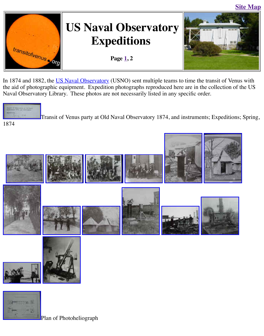

**Expeditions** 

Page  $1, 2$ 



I[n 1874 and 1882, the US](http://old.transitofvenus.org/index.htm) Naval Observatory (USNO) sent multiple teams to time the transit of the aid of photographic equipment. Expedition photographs reproduced here are in the collect Naval Observatory Library. These photos are not necessarily listed in any specific order.



Transit of Venus party at Old Naval Observatory 1874, and instruments; Expeditions; Transitions; Capeditions; Spring, Spring, 2013.

1874





[Plan of Photoheli](http://old.transitofvenus.org/USNO/DSC02696.JPG)ograph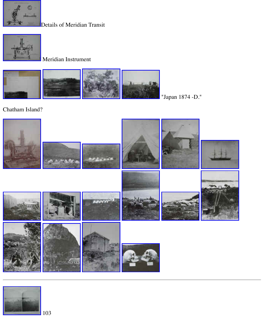

## Meridian Instrument



"Japan 1874 -D."

## [Chatham Island?](http://old.transitofvenus.org/USNO/DSC02687.JPG)





[103](http://old.transitofvenus.org/USNO/DSC02715.JPG)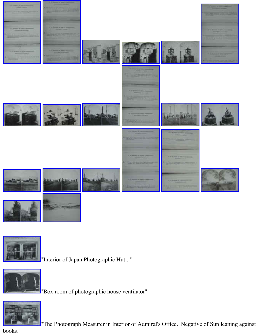



["Interior of Japan](http://old.transitofvenus.org/USNO/DSC02740.JPG) Photographic Hut..."



"Box room of photographic house ventilator"



"The Photograph Measurer in Interior of Admiral's Office. Negative of Sun lea

[books."](http://old.transitofvenus.org/USNO/DSC02742.JPG)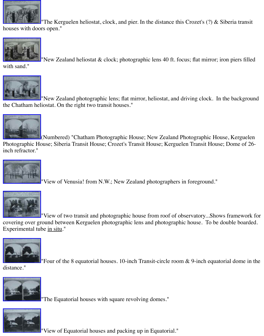

"New Zealand heliostat & clock; photographic lens 40 ft. focus; flat mirror; iron

[with sand."](http://old.transitofvenus.org/USNO/DSC02744.JPG)



"New Zealand photographic lens; flat mirror, heliostat, and driving clock. In t [the Chatham hel](http://old.transitofvenus.org/USNO/DSC02745.JPG)iostat. On the right two transit houses."



(Numbered) "Chatham Photographic House; New Zealand Photographic Hous [Photographic Ho](http://old.transitofvenus.org/USNO/DSC02746.JPG)use; Siberia Transit House; Crozet's Transit House; Kerguelen Transit House; inch refractor."



"View of Venusia! from N.W.; New Zealand photographers in foreground."



"View of two transit and photographic house from roof of observatory...Shows [covering over gr](http://old.transitofvenus.org/USNO/DSC02748.JPG)ound between Kerguelen photographic lens and photographic house. To be do Experimental tube in situ."



"Four of the 8 equatorial houses. 10-inch Transit-circle room  $\&$  9-inch equator

distance."



"The Equatorial houses with square revolving domes."



"View of Equatorial houses and packing up in Equatorial."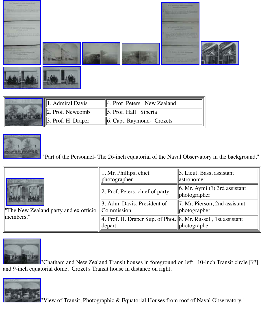

| . Admiral Davis<br>$  4.$ Prof. Peters New Zealand |                                   |
|----------------------------------------------------|-----------------------------------|
| $\parallel$ 2. Prof. Newcomb                       | $\parallel$ 5. Prof. Hall Siberia |
| Prof. H. Draper                                    | $\ 6$ . Capt. Raymond- Crozets    |



"Part of the Personnel- The 26-inch equatorial of the Naval Observatory in the

|                                                    | $\parallel$ 1. Mr. Phillips, chief<br>photographer                              | 5. Lieut. Bass, assis<br>astronomer      |
|----------------------------------------------------|---------------------------------------------------------------------------------|------------------------------------------|
|                                                    | $  2.$ Prof. Peters, chief of party                                             | 6. Mr. Aymi (?) 3rd<br>$\ $ photographer |
| The New Zealand party and ex officio    Commission | $\parallel$ 3. Adm. Davis, President of                                         | $\ 7.$ Mr. Pierson, 2nd<br>photographer  |
| members."                                          | 4. Prof. H. Draper Sup. of Phot.   8. Mr. Russell, 1st a<br>$\parallel$ depart. | photographer                             |



"Chatham and New Zealand Transit houses in foreground on left. 10-inch Tra and 9-inch equatorial dome. Crozet's Transit house in distance on right.



"View of Transit, Photographic & Equatorial Houses from roof of Naval Obse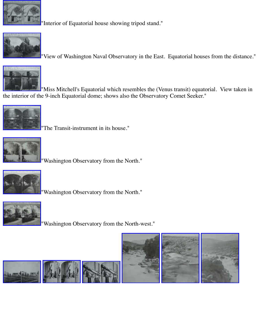

"View of Washington Naval Observatory in the East. Equatorial houses from



"Miss Mitchell's Equatorial which resembles the (Venus transit) equatorial. V [the interior of th](http://old.transitofvenus.org/USNO/DSC02768.JPG)e 9-inch Equatorial dome; shows also the Observatory Comet Seeker."



"The Transit-instrument in its house."



"Washington Observatory from the North."



"Washington Observatory from the North."



"Washington Observatory from the North-west."





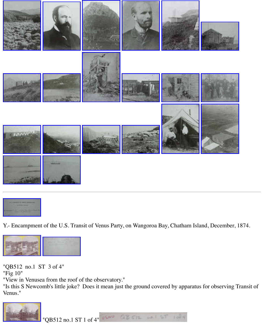



[Y.- Encampment](http://old.transitofvenus.org/USNO/DSC02800.JPG) [of the U.S. Tran](http://old.transitofvenus.org/USNO/DSC02801.JPG)sit of Venus Party, on Wangoroa Bay, Chatham Island, Decen



"QB512 no.1 ST 3 of 4"

"Fig 10"

"View in Venusea from the roof of the observatory."

["Is this S Newco](http://old.transitofvenus.org/USNO/DSC02651.JPG)[mb's little joke?](http://old.transitofvenus.org/Astro%20Stuff/Transit%20of%20Venus/2005%20and%20Before/2004%20D.C.%20&%20USNO/Smithson%20&%20USNO/DSC02653.JPG) Does it mean just the ground covered by apparatus for obser Venus."



"QB512 no.1 ST 1 of 4" USMO QB 512 MOLL ST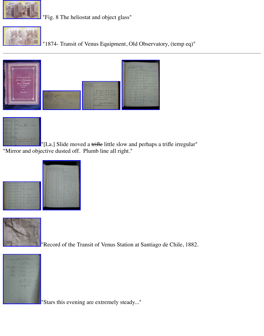## $\frac{1}{2}$  Transit of  $\frac{1}{2}$  Transit of  $\frac{1}{2}$  Observations Equipment, Observations Equipment, Observations Equipment, Observations Equipment, Observations Equipment, Observations Equipment, Observations Equipment, O





["\[La.\] Slide mov](http://old.transitofvenus.org/USNO/DSC02803.JPG)[ed a trifle little sl](http://old.transitofvenus.org/USNO/DSC02804.JPG)[ow and perhaps a](http://old.transitofvenus.org/USNO/DSC02805.JPG) trifle irregular" ["Mirror and obje](http://old.transitofvenus.org/USNO/DSC02802.JPG)ctive dusted off. Plumb line all right."





["Record of the Tr](http://old.transitofvenus.org/USNO/DSC02808.JPG)ansit of Venus Station at Santiago de Chile, 1882.



"Stars this evening are extremely steady..."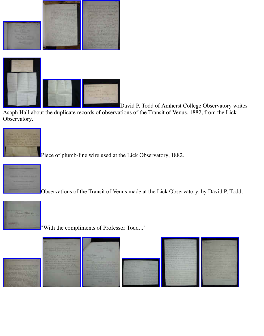

David P. Todd of Amherst College Observat

[Asaph Hall abou](http://old.transitofvenus.org/USNO/DSC02816.JPG)t the duplicate records of observations of the Transit of Venus, 1882, from the Observatory.



[Piece of plumb-li](http://old.transitofvenus.org/USNO/DSC02815.JPG)[ne wire used at th](http://old.transitofvenus.org/USNO/DSC02817.JPG)e Lick Observatory, 1882.



Observations of the Transit of Venus made at the Lick Observatory, by David.



"With the compliments of Professor Todd..."



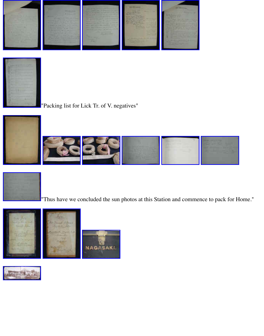



"Packing list for Lick Tr. of V. negatives"







["Thus have we c](http://old.transitofvenus.org/USNO/DSC02834.JPG)[oncluded the sun](http://old.transitofvenus.org/USNO/DSC02835.JPG) [photos at this Sta](http://old.transitofvenus.org/USNO/DSC02836.JPG)[tion and comme](http://old.transitofvenus.org/USNO/DSC02837.JPG)nce to pacl